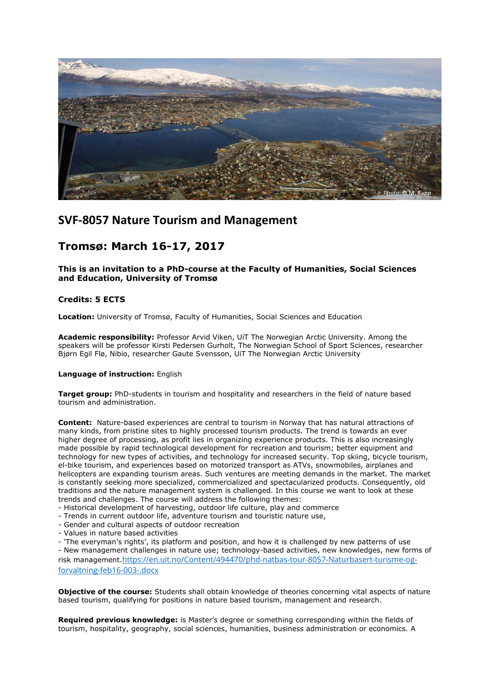

## **SVF-8057 Nature Tourism and Management**

# **Tromsø: March 16-17, 2017**

**This is an invitation to a PhD-course at the Faculty of Humanities, Social Sciences and Education, University of Tromsø**

### **Credits: 5 ECTS**

**Location:** University of Tromsø, Faculty of Humanities, Social Sciences and Education

**Academic responsibility:** Professor Arvid Viken, UiT The Norwegian Arctic University. Among the speakers will be professor Kirsti Pedersen Gurholt, The Norwegian School of Sport Sciences, researcher Bjørn Egil Flø, Nibio, researcher Gaute Svensson, UiT The Norwegian Arctic University

#### **Language of instruction:** English

**Target group:** PhD-students in tourism and hospitality and researchers in the field of nature based tourism and administration.

**Content:** Nature-based experiences are central to tourism in Norway that has natural attractions of many kinds, from pristine sites to highly processed tourism products. The trend is towards an ever higher degree of processing, as profit lies in organizing experience products. This is also increasingly made possible by rapid technological development for recreation and tourism; better equipment and technology for new types of activities, and technology for increased security. Top skiing, bicycle tourism, el-bike tourism, and experiences based on motorized transport as ATVs, snowmobiles, airplanes and helicopters are expanding tourism areas. Such ventures are meeting demands in the market. The market is constantly seeking more specialized, commercialized and spectacularized products. Consequently, old traditions and the nature management system is challenged. In this course we want to look at these trends and challenges. The course will address the following themes:

- Historical development of harvesting, outdoor life culture, play and commerce
- Trends in current outdoor life, adventure tourism and touristic nature use,
- Gender and cultural aspects of outdoor recreation
- Values in nature based activities

- 'The everyman's rights', its platform and position, and how it is challenged by new patterns of use - New management challenges in nature use; technology-based activities, new knowledges, new forms of risk management.[https://en.uit.no/Content/494470/phd-natbas-tour-8057-Naturbasert-turisme-og](https://en.uit.no/Content/494470/phd-natbas-tour-8057-Naturbasert-turisme-og-forvaltning-feb16-003-.docx)[forvaltning-feb16-003-.docx](https://en.uit.no/Content/494470/phd-natbas-tour-8057-Naturbasert-turisme-og-forvaltning-feb16-003-.docx)

**Objective of the course:** Students shall obtain knowledge of theories concerning vital aspects of nature based tourism, qualifying for positions in nature based tourism, management and research.

**Required previous knowledge:** is Master's degree or something corresponding within the fields of tourism, hospitality, geography, social sciences, humanities, business administration or economics. A